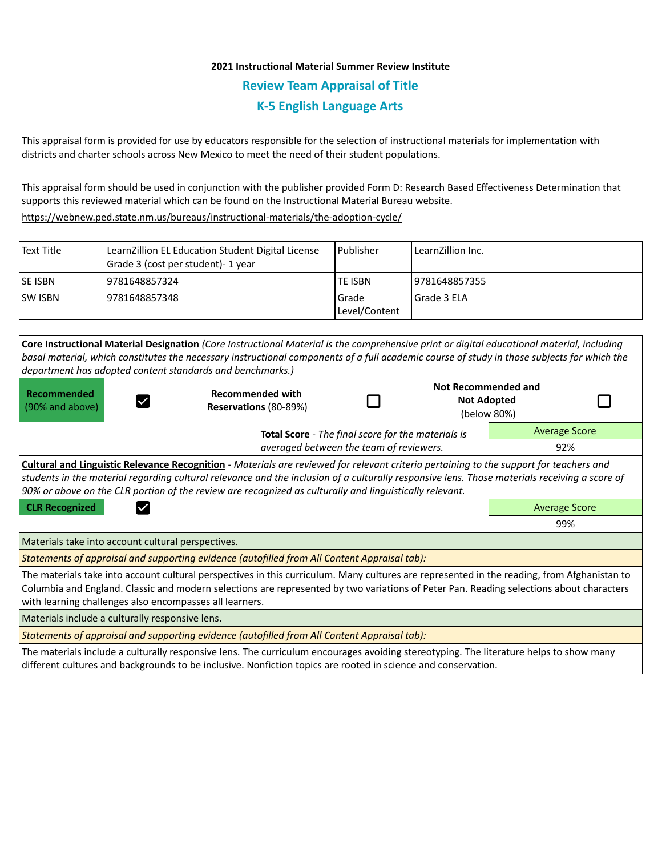## **2021 Instructional Material Summer Review Institute Review Team Appraisal of Title K-5 English Language Arts**

This appraisal form is provided for use by educators responsible for the selection of instructional materials for implementation with districts and charter schools across New Mexico to meet the need of their student populations.

This appraisal form should be used in conjunction with the publisher provided Form D: Research Based Effectiveness Determination that supports this reviewed material which can be found on the Instructional Material Bureau website.

<https://webnew.ped.state.nm.us/bureaus/instructional-materials/the-adoption-cycle/>

| l Text Title | LearnZillion EL Education Student Digital License<br>Grade 3 (cost per student) - 1 year | Publisher              | LearnZillion Inc. |
|--------------|------------------------------------------------------------------------------------------|------------------------|-------------------|
| lse isbn     | 9781648857324                                                                            | TE ISBN                | 9781648857355     |
| ISW ISBN     | 9781648857348                                                                            | Grade<br>Level/Content | l Grade 3 ELA     |

|                                                                                                                                                                                                                                                                                                                                                                                                     | Core Instructional Material Designation (Core Instructional Material is the comprehensive print or digital educational material, including                                                                                                                                             |                                                    |                                                                 |                      |  |  |
|-----------------------------------------------------------------------------------------------------------------------------------------------------------------------------------------------------------------------------------------------------------------------------------------------------------------------------------------------------------------------------------------------------|----------------------------------------------------------------------------------------------------------------------------------------------------------------------------------------------------------------------------------------------------------------------------------------|----------------------------------------------------|-----------------------------------------------------------------|----------------------|--|--|
|                                                                                                                                                                                                                                                                                                                                                                                                     | basal material, which constitutes the necessary instructional components of a full academic course of study in those subjects for which the                                                                                                                                            |                                                    |                                                                 |                      |  |  |
|                                                                                                                                                                                                                                                                                                                                                                                                     | department has adopted content standards and benchmarks.)                                                                                                                                                                                                                              |                                                    |                                                                 |                      |  |  |
| Recommended<br>(90% and above)                                                                                                                                                                                                                                                                                                                                                                      | <b>Recommended with</b><br>Reservations (80-89%)                                                                                                                                                                                                                                       |                                                    | <b>Not Recommended and</b><br><b>Not Adopted</b><br>(below 80%) |                      |  |  |
|                                                                                                                                                                                                                                                                                                                                                                                                     |                                                                                                                                                                                                                                                                                        | Total Score - The final score for the materials is |                                                                 | <b>Average Score</b> |  |  |
|                                                                                                                                                                                                                                                                                                                                                                                                     | averaged between the team of reviewers.                                                                                                                                                                                                                                                |                                                    |                                                                 | 92%                  |  |  |
| Cultural and Linguistic Relevance Recognition - Materials are reviewed for relevant criteria pertaining to the support for teachers and<br>students in the material regarding cultural relevance and the inclusion of a culturally responsive lens. Those materials receiving a score of<br>90% or above on the CLR portion of the review are recognized as culturally and linguistically relevant. |                                                                                                                                                                                                                                                                                        |                                                    |                                                                 |                      |  |  |
| <b>CLR Recognized</b>                                                                                                                                                                                                                                                                                                                                                                               |                                                                                                                                                                                                                                                                                        |                                                    |                                                                 |                      |  |  |
|                                                                                                                                                                                                                                                                                                                                                                                                     |                                                                                                                                                                                                                                                                                        |                                                    |                                                                 | <b>Average Score</b> |  |  |
|                                                                                                                                                                                                                                                                                                                                                                                                     |                                                                                                                                                                                                                                                                                        |                                                    |                                                                 | 99%                  |  |  |
| Materials take into account cultural perspectives.                                                                                                                                                                                                                                                                                                                                                  |                                                                                                                                                                                                                                                                                        |                                                    |                                                                 |                      |  |  |
|                                                                                                                                                                                                                                                                                                                                                                                                     | Statements of appraisal and supporting evidence (autofilled from All Content Appraisal tab):                                                                                                                                                                                           |                                                    |                                                                 |                      |  |  |
| with learning challenges also encompasses all learners.                                                                                                                                                                                                                                                                                                                                             | The materials take into account cultural perspectives in this curriculum. Many cultures are represented in the reading, from Afghanistan to<br>Columbia and England. Classic and modern selections are represented by two variations of Peter Pan. Reading selections about characters |                                                    |                                                                 |                      |  |  |
| Materials include a culturally responsive lens.                                                                                                                                                                                                                                                                                                                                                     |                                                                                                                                                                                                                                                                                        |                                                    |                                                                 |                      |  |  |
|                                                                                                                                                                                                                                                                                                                                                                                                     | Statements of appraisal and supporting evidence (autofilled from All Content Appraisal tab):                                                                                                                                                                                           |                                                    |                                                                 |                      |  |  |

different cultures and backgrounds to be inclusive. Nonfiction topics are rooted in science and conservation.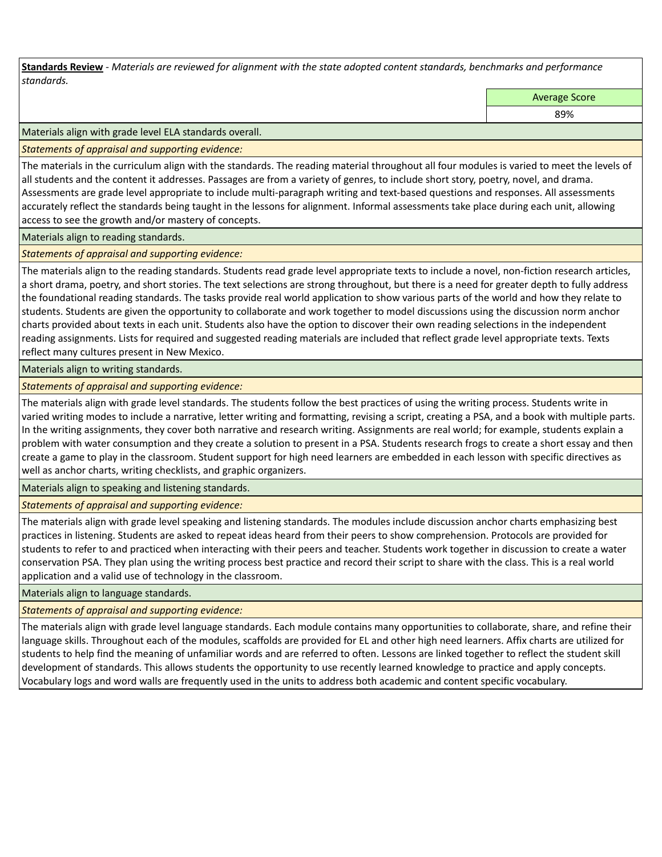**Standards Review** *- Materials are reviewed for alignment with the state adopted content standards, benchmarks and performance standards.*

Average Score

89%

Materials align with grade level ELA standards overall.

*Statements of appraisal and supporting evidence:* 

The materials in the curriculum align with the standards. The reading material throughout all four modules is varied to meet the levels of all students and the content it addresses. Passages are from a variety of genres, to include short story, poetry, novel, and drama. Assessments are grade level appropriate to include multi-paragraph writing and text-based questions and responses. All assessments accurately reflect the standards being taught in the lessons for alignment. Informal assessments take place during each unit, allowing access to see the growth and/or mastery of concepts.

Materials align to reading standards.

*Statements of appraisal and supporting evidence:* 

The materials align to the reading standards. Students read grade level appropriate texts to include a novel, non-fiction research articles, a short drama, poetry, and short stories. The text selections are strong throughout, but there is a need for greater depth to fully address the foundational reading standards. The tasks provide real world application to show various parts of the world and how they relate to students. Students are given the opportunity to collaborate and work together to model discussions using the discussion norm anchor charts provided about texts in each unit. Students also have the option to discover their own reading selections in the independent reading assignments. Lists for required and suggested reading materials are included that reflect grade level appropriate texts. Texts reflect many cultures present in New Mexico.

Materials align to writing standards.

*Statements of appraisal and supporting evidence:* 

The materials align with grade level standards. The students follow the best practices of using the writing process. Students write in varied writing modes to include a narrative, letter writing and formatting, revising a script, creating a PSA, and a book with multiple parts. In the writing assignments, they cover both narrative and research writing. Assignments are real world; for example, students explain a problem with water consumption and they create a solution to present in a PSA. Students research frogs to create a short essay and then create a game to play in the classroom. Student support for high need learners are embedded in each lesson with specific directives as well as anchor charts, writing checklists, and graphic organizers.

Materials align to speaking and listening standards.

*Statements of appraisal and supporting evidence:* 

The materials align with grade level speaking and listening standards. The modules include discussion anchor charts emphasizing best practices in listening. Students are asked to repeat ideas heard from their peers to show comprehension. Protocols are provided for students to refer to and practiced when interacting with their peers and teacher. Students work together in discussion to create a water conservation PSA. They plan using the writing process best practice and record their script to share with the class. This is a real world application and a valid use of technology in the classroom.

Materials align to language standards.

*Statements of appraisal and supporting evidence:* 

The materials align with grade level language standards. Each module contains many opportunities to collaborate, share, and refine their language skills. Throughout each of the modules, scaffolds are provided for EL and other high need learners. Affix charts are utilized for students to help find the meaning of unfamiliar words and are referred to often. Lessons are linked together to reflect the student skill development of standards. This allows students the opportunity to use recently learned knowledge to practice and apply concepts. Vocabulary logs and word walls are frequently used in the units to address both academic and content specific vocabulary.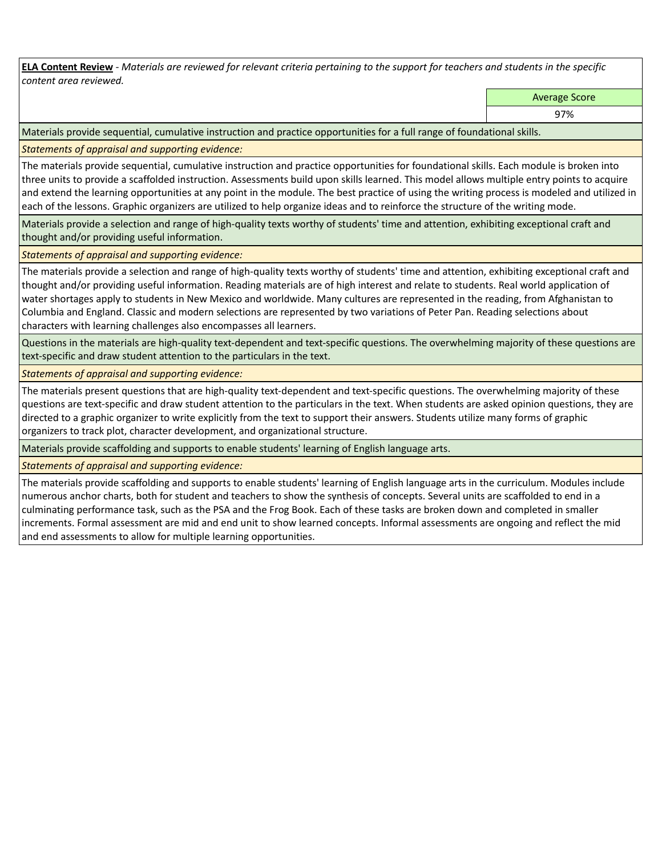**ELA Content Review** *- Materials are reviewed for relevant criteria pertaining to the support for teachers and students in the specific content area reviewed.*

Average Score

97%

Materials provide sequential, cumulative instruction and practice opportunities for a full range of foundational skills.

*Statements of appraisal and supporting evidence:* 

The materials provide sequential, cumulative instruction and practice opportunities for foundational skills. Each module is broken into three units to provide a scaffolded instruction. Assessments build upon skills learned. This model allows multiple entry points to acquire and extend the learning opportunities at any point in the module. The best practice of using the writing process is modeled and utilized in each of the lessons. Graphic organizers are utilized to help organize ideas and to reinforce the structure of the writing mode.

Materials provide a selection and range of high-quality texts worthy of students' time and attention, exhibiting exceptional craft and thought and/or providing useful information.

*Statements of appraisal and supporting evidence:* 

The materials provide a selection and range of high-quality texts worthy of students' time and attention, exhibiting exceptional craft and thought and/or providing useful information. Reading materials are of high interest and relate to students. Real world application of water shortages apply to students in New Mexico and worldwide. Many cultures are represented in the reading, from Afghanistan to Columbia and England. Classic and modern selections are represented by two variations of Peter Pan. Reading selections about characters with learning challenges also encompasses all learners.

Questions in the materials are high-quality text-dependent and text-specific questions. The overwhelming majority of these questions are text-specific and draw student attention to the particulars in the text.

*Statements of appraisal and supporting evidence:* 

The materials present questions that are high-quality text-dependent and text-specific questions. The overwhelming majority of these questions are text-specific and draw student attention to the particulars in the text. When students are asked opinion questions, they are directed to a graphic organizer to write explicitly from the text to support their answers. Students utilize many forms of graphic organizers to track plot, character development, and organizational structure.

Materials provide scaffolding and supports to enable students' learning of English language arts.

*Statements of appraisal and supporting evidence:* 

The materials provide scaffolding and supports to enable students' learning of English language arts in the curriculum. Modules include numerous anchor charts, both for student and teachers to show the synthesis of concepts. Several units are scaffolded to end in a culminating performance task, such as the PSA and the Frog Book. Each of these tasks are broken down and completed in smaller increments. Formal assessment are mid and end unit to show learned concepts. Informal assessments are ongoing and reflect the mid and end assessments to allow for multiple learning opportunities.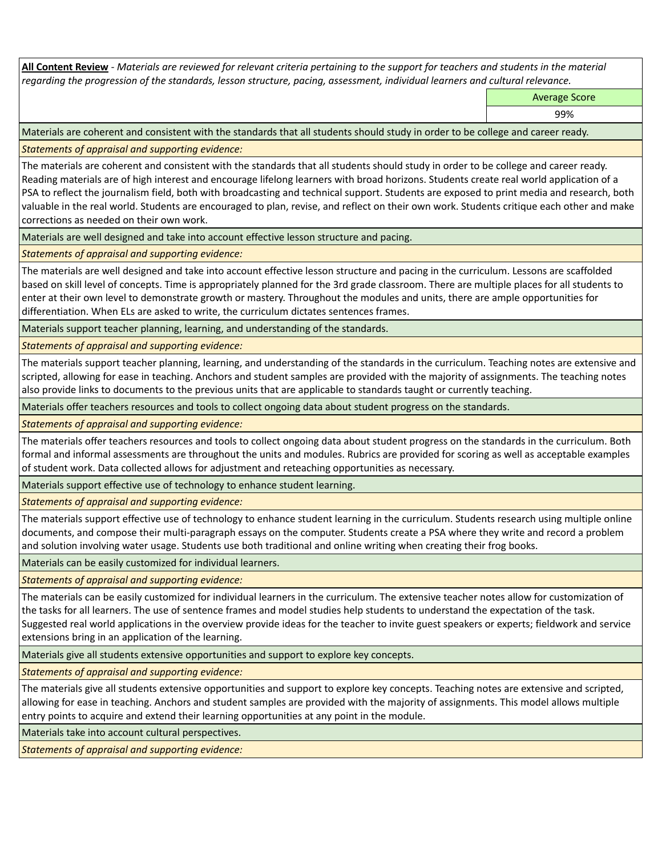**All Content Review** *- Materials are reviewed for relevant criteria pertaining to the support for teachers and students in the material regarding the progression of the standards, lesson structure, pacing, assessment, individual learners and cultural relevance.*

Average Score

99%

Materials are coherent and consistent with the standards that all students should study in order to be college and career ready.

*Statements of appraisal and supporting evidence:*

The materials are coherent and consistent with the standards that all students should study in order to be college and career ready. Reading materials are of high interest and encourage lifelong learners with broad horizons. Students create real world application of a PSA to reflect the journalism field, both with broadcasting and technical support. Students are exposed to print media and research, both valuable in the real world. Students are encouraged to plan, revise, and reflect on their own work. Students critique each other and make corrections as needed on their own work.

Materials are well designed and take into account effective lesson structure and pacing.

*Statements of appraisal and supporting evidence:*

The materials are well designed and take into account effective lesson structure and pacing in the curriculum. Lessons are scaffolded based on skill level of concepts. Time is appropriately planned for the 3rd grade classroom. There are multiple places for all students to enter at their own level to demonstrate growth or mastery. Throughout the modules and units, there are ample opportunities for differentiation. When ELs are asked to write, the curriculum dictates sentences frames.

Materials support teacher planning, learning, and understanding of the standards.

*Statements of appraisal and supporting evidence:*

The materials support teacher planning, learning, and understanding of the standards in the curriculum. Teaching notes are extensive and scripted, allowing for ease in teaching. Anchors and student samples are provided with the majority of assignments. The teaching notes also provide links to documents to the previous units that are applicable to standards taught or currently teaching.

Materials offer teachers resources and tools to collect ongoing data about student progress on the standards.

*Statements of appraisal and supporting evidence:*

The materials offer teachers resources and tools to collect ongoing data about student progress on the standards in the curriculum. Both formal and informal assessments are throughout the units and modules. Rubrics are provided for scoring as well as acceptable examples of student work. Data collected allows for adjustment and reteaching opportunities as necessary.

Materials support effective use of technology to enhance student learning.

*Statements of appraisal and supporting evidence:*

The materials support effective use of technology to enhance student learning in the curriculum. Students research using multiple online documents, and compose their multi-paragraph essays on the computer. Students create a PSA where they write and record a problem and solution involving water usage. Students use both traditional and online writing when creating their frog books.

Materials can be easily customized for individual learners.

*Statements of appraisal and supporting evidence:* 

The materials can be easily customized for individual learners in the curriculum. The extensive teacher notes allow for customization of the tasks for all learners. The use of sentence frames and model studies help students to understand the expectation of the task. Suggested real world applications in the overview provide ideas for the teacher to invite guest speakers or experts; fieldwork and service extensions bring in an application of the learning.

Materials give all students extensive opportunities and support to explore key concepts.

*Statements of appraisal and supporting evidence:*

The materials give all students extensive opportunities and support to explore key concepts. Teaching notes are extensive and scripted, allowing for ease in teaching. Anchors and student samples are provided with the majority of assignments. This model allows multiple entry points to acquire and extend their learning opportunities at any point in the module.

Materials take into account cultural perspectives.

*Statements of appraisal and supporting evidence:*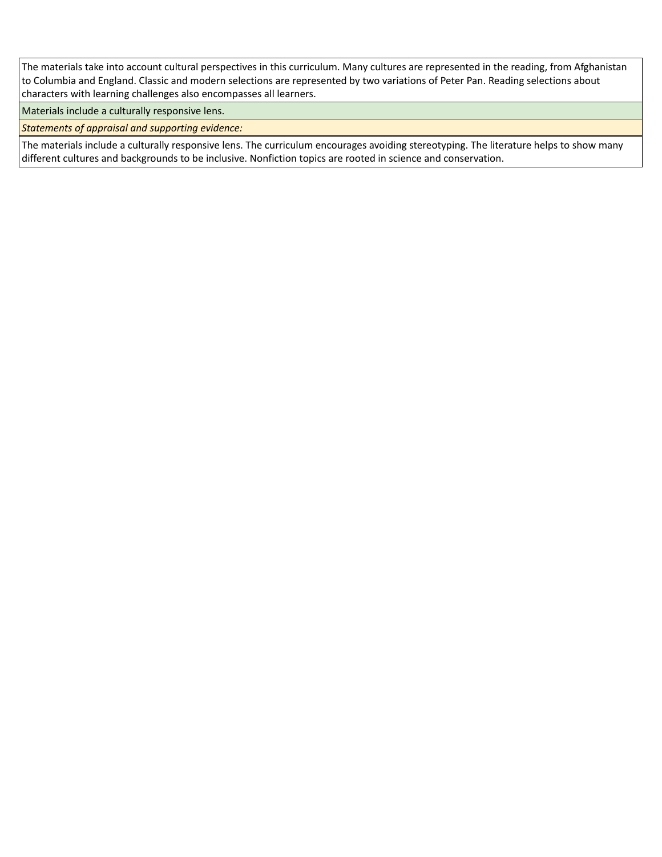The materials take into account cultural perspectives in this curriculum. Many cultures are represented in the reading, from Afghanistan to Columbia and England. Classic and modern selections are represented by two variations of Peter Pan. Reading selections about characters with learning challenges also encompasses all learners.

Materials include a culturally responsive lens.

*Statements of appraisal and supporting evidence:*

The materials include a culturally responsive lens. The curriculum encourages avoiding stereotyping. The literature helps to show many different cultures and backgrounds to be inclusive. Nonfiction topics are rooted in science and conservation.